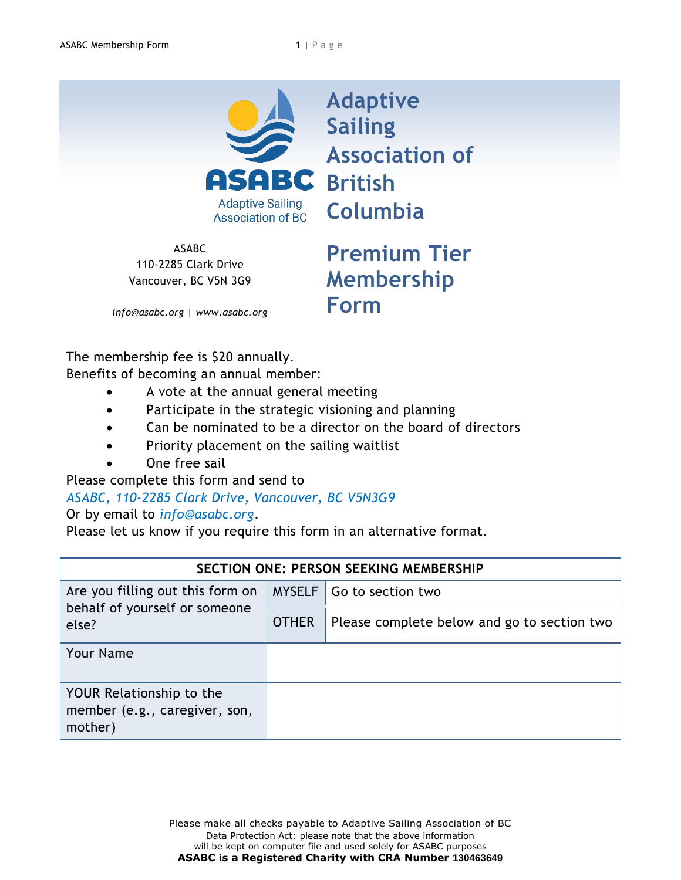

**Adaptive Sailing Association of Columbia**

ASABC 110-2285 Clark Drive Vancouver, BC V5N 3G9

**Premium Tier Membership Form**

*info@asabc.org | www.asabc.org*

The membership fee is \$20 annually. Benefits of becoming an annual member:

- A vote at the annual general meeting
- Participate in the strategic visioning and planning
- Can be nominated to be a director on the board of directors
- Priority placement on the sailing waitlist
- One free sail

Please complete this form and send to

## *ASABC, 110-2285 Clark Drive, Vancouver, BC V5N3G9*

## Or by email to *info@asabc.org*.

Please let us know if you require this form in an alternative format.

| SECTION ONE: PERSON SEEKING MEMBERSHIP                                     |              |                                             |  |  |
|----------------------------------------------------------------------------|--------------|---------------------------------------------|--|--|
| Are you filling out this form on<br>behalf of yourself or someone<br>else? |              | MYSELF   Go to section two                  |  |  |
|                                                                            | <b>OTHER</b> | Please complete below and go to section two |  |  |
| <b>Your Name</b>                                                           |              |                                             |  |  |
| YOUR Relationship to the<br>member (e.g., caregiver, son,<br>mother)       |              |                                             |  |  |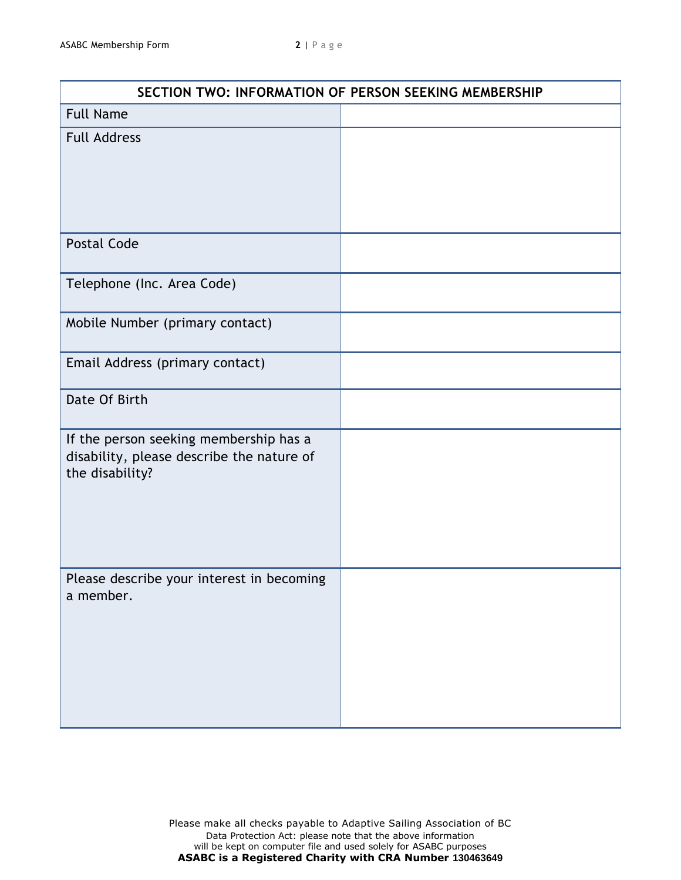| SECTION TWO: INFORMATION OF PERSON SEEKING MEMBERSHIP                                                  |  |  |
|--------------------------------------------------------------------------------------------------------|--|--|
| <b>Full Name</b>                                                                                       |  |  |
| <b>Full Address</b>                                                                                    |  |  |
| <b>Postal Code</b>                                                                                     |  |  |
| Telephone (Inc. Area Code)                                                                             |  |  |
| Mobile Number (primary contact)                                                                        |  |  |
| Email Address (primary contact)                                                                        |  |  |
| Date Of Birth                                                                                          |  |  |
| If the person seeking membership has a<br>disability, please describe the nature of<br>the disability? |  |  |
| Please describe your interest in becoming<br>a member.                                                 |  |  |